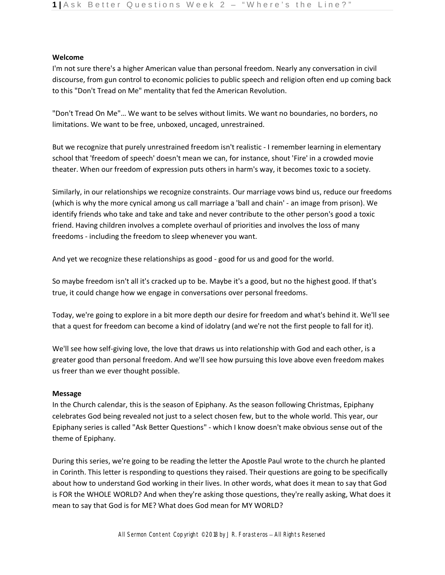## **Welcome**

I'm not sure there's a higher American value than personal freedom. Nearly any conversation in civil discourse, from gun control to economic policies to public speech and religion often end up coming back to this "Don't Tread on Me" mentality that fed the American Revolution.

"Don't Tread On Me"… We want to be selves without limits. We want no boundaries, no borders, no limitations. We want to be free, unboxed, uncaged, unrestrained.

But we recognize that purely unrestrained freedom isn't realistic - I remember learning in elementary school that 'freedom of speech' doesn't mean we can, for instance, shout 'Fire' in a crowded movie theater. When our freedom of expression puts others in harm's way, it becomes toxic to a society.

Similarly, in our relationships we recognize constraints. Our marriage vows bind us, reduce our freedoms (which is why the more cynical among us call marriage a 'ball and chain' - an image from prison). We identify friends who take and take and take and never contribute to the other person's good a toxic friend. Having children involves a complete overhaul of priorities and involves the loss of many freedoms - including the freedom to sleep whenever you want.

And yet we recognize these relationships as good - good for us and good for the world.

So maybe freedom isn't all it's cracked up to be. Maybe it's a good, but no the highest good. If that's true, it could change how we engage in conversations over personal freedoms.

Today, we're going to explore in a bit more depth our desire for freedom and what's behind it. We'll see that a quest for freedom can become a kind of idolatry (and we're not the first people to fall for it).

We'll see how self-giving love, the love that draws us into relationship with God and each other, is a greater good than personal freedom. And we'll see how pursuing this love above even freedom makes us freer than we ever thought possible.

## **Message**

In the Church calendar, this is the season of Epiphany. As the season following Christmas, Epiphany celebrates God being revealed not just to a select chosen few, but to the whole world. This year, our Epiphany series is called "Ask Better Questions" - which I know doesn't make obvious sense out of the theme of Epiphany.

During this series, we're going to be reading the letter the Apostle Paul wrote to the church he planted in Corinth. This letter is responding to questions they raised. Their questions are going to be specifically about how to understand God working in their lives. In other words, what does it mean to say that God is FOR the WHOLE WORLD? And when they're asking those questions, they're really asking, What does it mean to say that God is for ME? What does God mean for MY WORLD?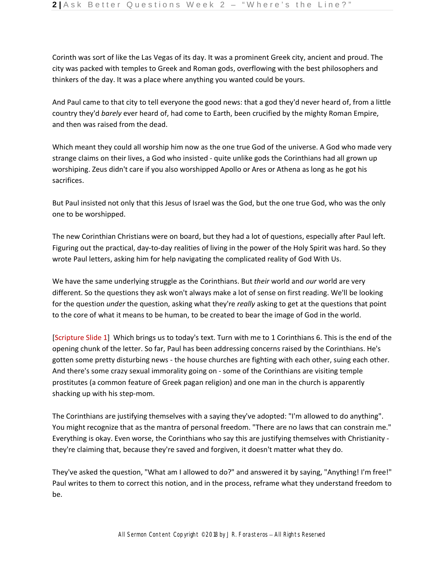Corinth was sort of like the Las Vegas of its day. It was a prominent Greek city, ancient and proud. The city was packed with temples to Greek and Roman gods, overflowing with the best philosophers and thinkers of the day. It was a place where anything you wanted could be yours.

And Paul came to that city to tell everyone the good news: that a god they'd never heard of, from a little country they'd *barely* ever heard of, had come to Earth, been crucified by the mighty Roman Empire, and then was raised from the dead.

Which meant they could all worship him now as the one true God of the universe. A God who made very strange claims on their lives, a God who insisted - quite unlike gods the Corinthians had all grown up worshiping. Zeus didn't care if you also worshipped Apollo or Ares or Athena as long as he got his sacrifices.

But Paul insisted not only that this Jesus of Israel was the God, but the one true God, who was the only one to be worshipped.

The new Corinthian Christians were on board, but they had a lot of questions, especially after Paul left. Figuring out the practical, day-to-day realities of living in the power of the Holy Spirit was hard. So they wrote Paul letters, asking him for help navigating the complicated reality of God With Us.

We have the same underlying struggle as the Corinthians. But *their* world and *our* world are very different. So the questions they ask won't always make a lot of sense on first reading. We'll be looking for the question *under* the question, asking what they're *really* asking to get at the questions that point to the core of what it means to be human, to be created to bear the image of God in the world.

[Scripture Slide 1] Which brings us to today's text. Turn with me to 1 Corinthians 6. This is the end of the opening chunk of the letter. So far, Paul has been addressing concerns raised by the Corinthians. He's gotten some pretty disturbing news - the house churches are fighting with each other, suing each other. And there's some crazy sexual immorality going on - some of the Corinthians are visiting temple prostitutes (a common feature of Greek pagan religion) and one man in the church is apparently shacking up with his step-mom.

The Corinthians are justifying themselves with a saying they've adopted: "I'm allowed to do anything". You might recognize that as the mantra of personal freedom. "There are no laws that can constrain me." Everything is okay. Even worse, the Corinthians who say this are justifying themselves with Christianity they're claiming that, because they're saved and forgiven, it doesn't matter what they do.

They've asked the question, "What am I allowed to do?" and answered it by saying, "Anything! I'm free!" Paul writes to them to correct this notion, and in the process, reframe what they understand freedom to be.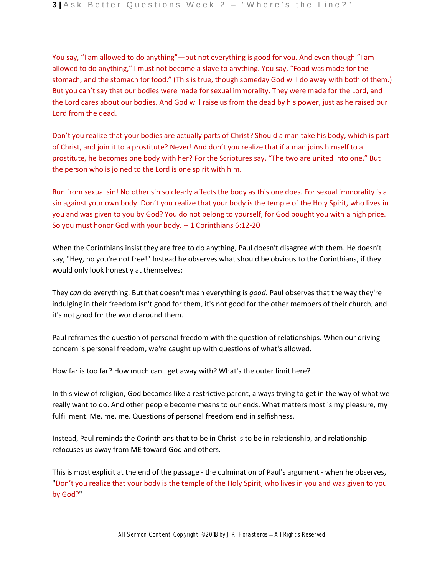You say, "I am allowed to do anything"—but not everything is good for you. And even though "I am allowed to do anything," I must not become a slave to anything. You say, "Food was made for the stomach, and the stomach for food." (This is true, though someday God will do away with both of them.) But you can't say that our bodies were made for sexual immorality. They were made for the Lord, and the Lord cares about our bodies. And God will raise us from the dead by his power, just as he raised our Lord from the dead.

Don't you realize that your bodies are actually parts of Christ? Should a man take his body, which is part of Christ, and join it to a prostitute? Never! And don't you realize that if a man joins himself to a prostitute, he becomes one body with her? For the Scriptures say, "The two are united into one." But the person who is joined to the Lord is one spirit with him.

Run from sexual sin! No other sin so clearly affects the body as this one does. For sexual immorality is a sin against your own body. Don't you realize that your body is the temple of the Holy Spirit, who lives in you and was given to you by God? You do not belong to yourself, for God bought you with a high price. So you must honor God with your body. -- 1 Corinthians 6:12-20

When the Corinthians insist they are free to do anything, Paul doesn't disagree with them. He doesn't say, "Hey, no you're not free!" Instead he observes what should be obvious to the Corinthians, if they would only look honestly at themselves:

They *can* do everything. But that doesn't mean everything is *good*. Paul observes that the way they're indulging in their freedom isn't good for them, it's not good for the other members of their church, and it's not good for the world around them.

Paul reframes the question of personal freedom with the question of relationships. When our driving concern is personal freedom, we're caught up with questions of what's allowed.

How far is too far? How much can I get away with? What's the outer limit here?

In this view of religion, God becomes like a restrictive parent, always trying to get in the way of what we really want to do. And other people become means to our ends. What matters most is my pleasure, my fulfillment. Me, me, me. Questions of personal freedom end in selfishness.

Instead, Paul reminds the Corinthians that to be in Christ is to be in relationship, and relationship refocuses us away from ME toward God and others.

This is most explicit at the end of the passage - the culmination of Paul's argument - when he observes, "Don't you realize that your body is the temple of the Holy Spirit, who lives in you and was given to you by God?"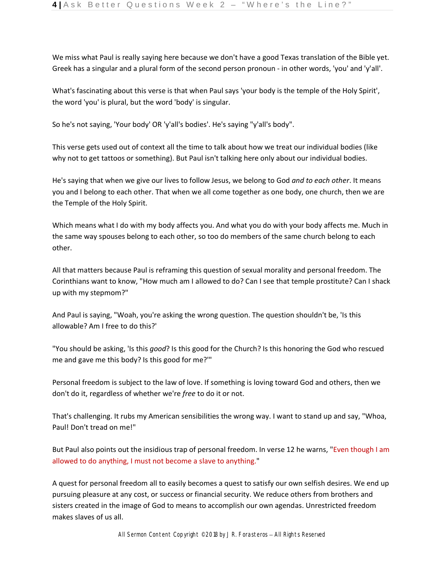We miss what Paul is really saying here because we don't have a good Texas translation of the Bible yet. Greek has a singular and a plural form of the second person pronoun - in other words, 'you' and 'y'all'.

What's fascinating about this verse is that when Paul says 'your body is the temple of the Holy Spirit', the word 'you' is plural, but the word 'body' is singular.

So he's not saying, 'Your body' OR 'y'all's bodies'. He's saying "y'all's body".

This verse gets used out of context all the time to talk about how we treat our individual bodies (like why not to get tattoos or something). But Paul isn't talking here only about our individual bodies.

He's saying that when we give our lives to follow Jesus, we belong to God *and to each other*. It means you and I belong to each other. That when we all come together as one body, one church, then we are the Temple of the Holy Spirit.

Which means what I do with my body affects you. And what you do with your body affects me. Much in the same way spouses belong to each other, so too do members of the same church belong to each other.

All that matters because Paul is reframing this question of sexual morality and personal freedom. The Corinthians want to know, "How much am I allowed to do? Can I see that temple prostitute? Can I shack up with my stepmom?"

And Paul is saying, "Woah, you're asking the wrong question. The question shouldn't be, 'Is this allowable? Am I free to do this?'

"You should be asking, 'Is this *good*? Is this good for the Church? Is this honoring the God who rescued me and gave me this body? Is this good for me?'"

Personal freedom is subject to the law of love. If something is loving toward God and others, then we don't do it, regardless of whether we're *free* to do it or not.

That's challenging. It rubs my American sensibilities the wrong way. I want to stand up and say, "Whoa, Paul! Don't tread on me!"

But Paul also points out the insidious trap of personal freedom. In verse 12 he warns, "Even though I am allowed to do anything, I must not become a slave to anything."

A quest for personal freedom all to easily becomes a quest to satisfy our own selfish desires. We end up pursuing pleasure at any cost, or success or financial security. We reduce others from brothers and sisters created in the image of God to means to accomplish our own agendas. Unrestricted freedom makes slaves of us all.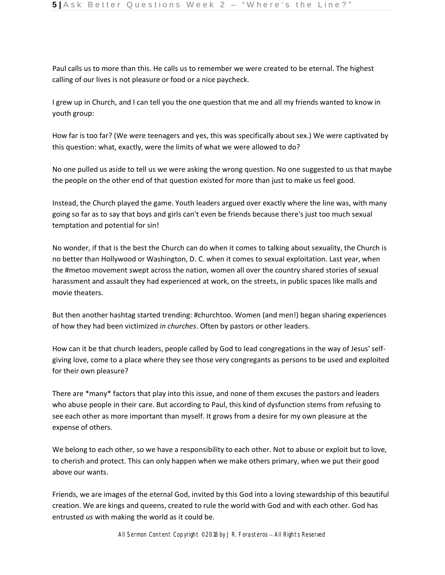Paul calls us to more than this. He calls us to remember we were created to be eternal. The highest calling of our lives is not pleasure or food or a nice paycheck.

I grew up in Church, and I can tell you the one question that me and all my friends wanted to know in youth group:

How far is too far? (We were teenagers and yes, this was specifically about sex.) We were captivated by this question: what, exactly, were the limits of what we were allowed to do?

No one pulled us aside to tell us we were asking the wrong question. No one suggested to us that maybe the people on the other end of that question existed for more than just to make us feel good.

Instead, the Church played the game. Youth leaders argued over exactly where the line was, with many going so far as to say that boys and girls can't even be friends because there's just too much sexual temptation and potential for sin!

No wonder, if that is the best the Church can do when it comes to talking about sexuality, the Church is no better than Hollywood or Washington, D. C. when it comes to sexual exploitation. Last year, when the #metoo movement swept across the nation, women all over the country shared stories of sexual harassment and assault they had experienced at work, on the streets, in public spaces like malls and movie theaters.

But then another hashtag started trending: #churchtoo. Women (and men!) began sharing experiences of how they had been victimized *in churches*. Often by pastors or other leaders.

How can it be that church leaders, people called by God to lead congregations in the way of Jesus' selfgiving love, come to a place where they see those very congregants as persons to be used and exploited for their own pleasure?

There are \*many\* factors that play into this issue, and none of them excuses the pastors and leaders who abuse people in their care. But according to Paul, this kind of dysfunction stems from refusing to see each other as more important than myself. It grows from a desire for my own pleasure at the expense of others.

We belong to each other, so we have a responsibility to each other. Not to abuse or exploit but to love, to cherish and protect. This can only happen when we make others primary, when we put their good above our wants.

Friends, we are images of the eternal God, invited by this God into a loving stewardship of this beautiful creation. We are kings and queens, created to rule the world with God and with each other. God has entrusted *us* with making the world as it could be.